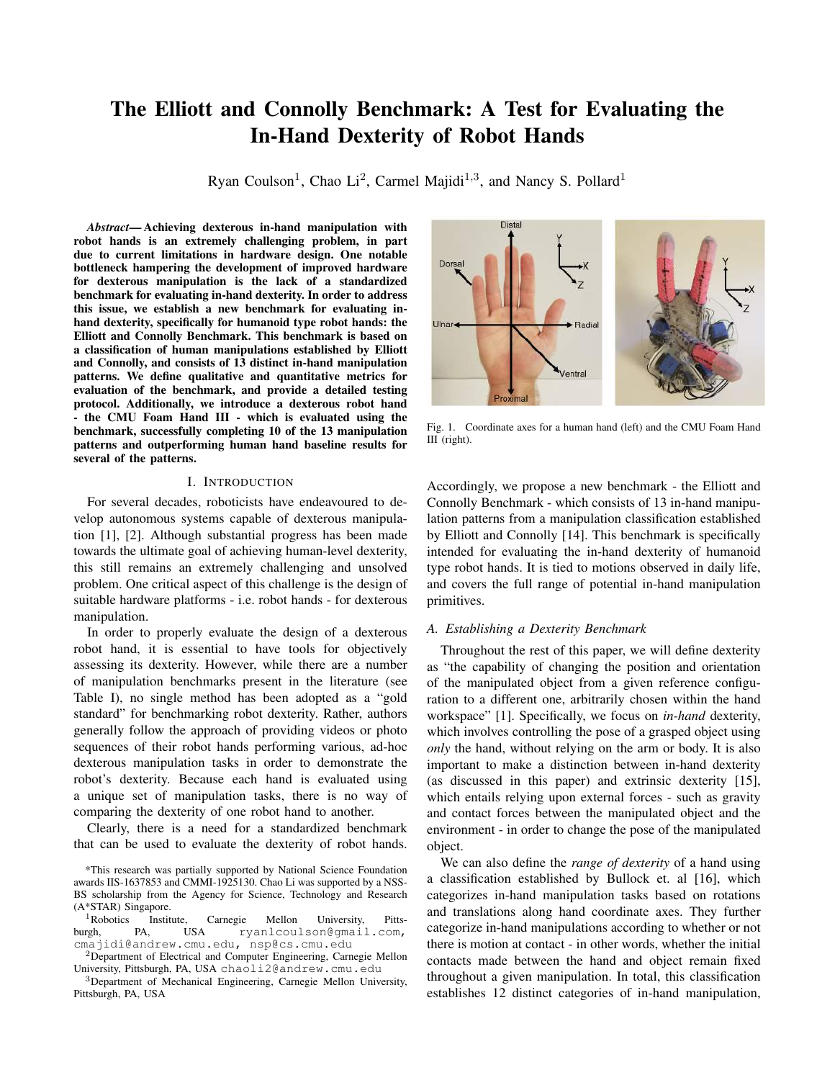# The Elliott and Connolly Benchmark: A Test for Evaluating the In-Hand Dexterity of Robot Hands

Ryan Coulson<sup>1</sup>, Chao Li<sup>2</sup>, Carmel Majidi<sup>1,3</sup>, and Nancy S. Pollard<sup>1</sup>

*Abstract*— Achieving dexterous in-hand manipulation with robot hands is an extremely challenging problem, in part due to current limitations in hardware design. One notable bottleneck hampering the development of improved hardware for dexterous manipulation is the lack of a standardized benchmark for evaluating in-hand dexterity. In order to address this issue, we establish a new benchmark for evaluating inhand dexterity, specifically for humanoid type robot hands: the Elliott and Connolly Benchmark. This benchmark is based on a classification of human manipulations established by Elliott and Connolly, and consists of 13 distinct in-hand manipulation patterns. We define qualitative and quantitative metrics for evaluation of the benchmark, and provide a detailed testing protocol. Additionally, we introduce a dexterous robot hand - the CMU Foam Hand III - which is evaluated using the benchmark, successfully completing 10 of the 13 manipulation patterns and outperforming human hand baseline results for several of the patterns.

## I. INTRODUCTION

For several decades, roboticists have endeavoured to develop autonomous systems capable of dexterous manipulation [1], [2]. Although substantial progress has been made towards the ultimate goal of achieving human-level dexterity, this still remains an extremely challenging and unsolved problem. One critical aspect of this challenge is the design of suitable hardware platforms - i.e. robot hands - for dexterous manipulation.

In order to properly evaluate the design of a dexterous robot hand, it is essential to have tools for objectively assessing its dexterity. However, while there are a number of manipulation benchmarks present in the literature (see Table I), no single method has been adopted as a "gold standard" for benchmarking robot dexterity. Rather, authors generally follow the approach of providing videos or photo sequences of their robot hands performing various, ad-hoc dexterous manipulation tasks in order to demonstrate the robot's dexterity. Because each hand is evaluated using a unique set of manipulation tasks, there is no way of comparing the dexterity of one robot hand to another.

Clearly, there is a need for a standardized benchmark that can be used to evaluate the dexterity of robot hands.



Fig. 1. Coordinate axes for a human hand (left) and the CMU Foam Hand III (right).

Accordingly, we propose a new benchmark - the Elliott and Connolly Benchmark - which consists of 13 in-hand manipulation patterns from a manipulation classification established by Elliott and Connolly [14]. This benchmark is specifically intended for evaluating the in-hand dexterity of humanoid type robot hands. It is tied to motions observed in daily life, and covers the full range of potential in-hand manipulation primitives.

# *A. Establishing a Dexterity Benchmark*

Throughout the rest of this paper, we will define dexterity as "the capability of changing the position and orientation of the manipulated object from a given reference configuration to a different one, arbitrarily chosen within the hand workspace" [1]. Specifically, we focus on *in-hand* dexterity, which involves controlling the pose of a grasped object using *only* the hand, without relying on the arm or body. It is also important to make a distinction between in-hand dexterity (as discussed in this paper) and extrinsic dexterity [15], which entails relying upon external forces - such as gravity and contact forces between the manipulated object and the environment - in order to change the pose of the manipulated object.

We can also define the *range of dexterity* of a hand using a classification established by Bullock et. al [16], which categorizes in-hand manipulation tasks based on rotations and translations along hand coordinate axes. They further categorize in-hand manipulations according to whether or not there is motion at contact - in other words, whether the initial contacts made between the hand and object remain fixed throughout a given manipulation. In total, this classification establishes 12 distinct categories of in-hand manipulation,

<sup>\*</sup>This research was partially supported by National Science Foundation awards IIS-1637853 and CMMI-1925130. Chao Li was supported by a NSS-BS scholarship from the Agency for Science, Technology and Research (A\*STAR) Singapore.

<sup>&</sup>lt;sup>1</sup>Robotics Institute, Carnegie Mellon University, Pitts-<br>
urgh, PA, USA ryan1cou1son@gmai1.com, burgh, PA, USA ryanlcoulson@gmail.com, cmajidi@andrew.cmu.edu, nsp@cs.cmu.edu

<sup>2</sup>Department of Electrical and Computer Engineering, Carnegie Mellon University, Pittsburgh, PA, USA chaoli2@andrew.cmu.edu

<sup>3</sup>Department of Mechanical Engineering, Carnegie Mellon University, Pittsburgh, PA, USA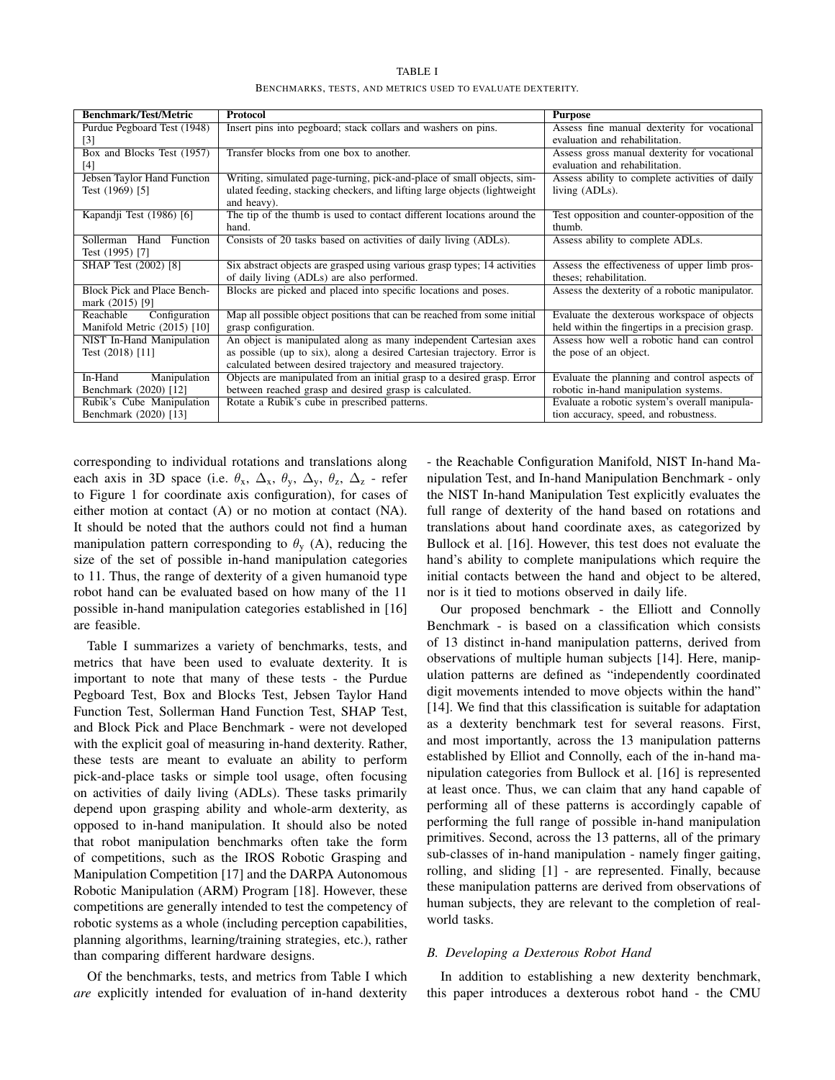| <b>Benchmark/Test/Metric</b>       | Protocol                                                                   | <b>Purpose</b>                                   |
|------------------------------------|----------------------------------------------------------------------------|--------------------------------------------------|
| Purdue Pegboard Test (1948)        | Insert pins into pegboard; stack collars and washers on pins.              | Assess fine manual dexterity for vocational      |
| $\lceil 3 \rceil$                  |                                                                            | evaluation and rehabilitation.                   |
| Box and Blocks Test (1957)         | Transfer blocks from one box to another.                                   | Assess gross manual dexterity for vocational     |
| [4]                                |                                                                            | evaluation and rehabilitation.                   |
| Jebsen Taylor Hand Function        | Writing, simulated page-turning, pick-and-place of small objects, sim-     | Assess ability to complete activities of daily   |
| Test (1969) [5]                    | ulated feeding, stacking checkers, and lifting large objects (lightweight) | living (ADLs).                                   |
|                                    | and heavy).                                                                |                                                  |
| Kapandji Test (1986) [6]           | The tip of the thumb is used to contact different locations around the     | Test opposition and counter-opposition of the    |
|                                    | hand.                                                                      | thumb.                                           |
| Sollerman Hand Function            | Consists of 20 tasks based on activities of daily living (ADLs).           | Assess ability to complete ADLs.                 |
| Test (1995) [7]                    |                                                                            |                                                  |
| SHAP Test (2002) [8]               | Six abstract objects are grasped using various grasp types; 14 activities  | Assess the effectiveness of upper limb pros-     |
|                                    | of daily living (ADLs) are also performed.                                 | theses; rehabilitation.                          |
| <b>Block Pick and Place Bench-</b> | Blocks are picked and placed into specific locations and poses.            | Assess the dexterity of a robotic manipulator.   |
| mark (2015) [9]                    |                                                                            |                                                  |
| Configuration<br>Reachable         | Map all possible object positions that can be reached from some initial    | Evaluate the dexterous workspace of objects      |
| Manifold Metric (2015) [10]        | grasp configuration.                                                       | held within the fingertips in a precision grasp. |
| NIST In-Hand Manipulation          | An object is manipulated along as many independent Cartesian axes          | Assess how well a robotic hand can control       |
| Test (2018) [11]                   | as possible (up to six), along a desired Cartesian trajectory. Error is    | the pose of an object.                           |
|                                    | calculated between desired trajectory and measured trajectory.             |                                                  |
| In-Hand<br>Manipulation            | Objects are manipulated from an initial grasp to a desired grasp. Error    | Evaluate the planning and control aspects of     |
| Benchmark (2020) [12]              | between reached grasp and desired grasp is calculated.                     | robotic in-hand manipulation systems.            |
| Rubik's Cube Manipulation          | Rotate a Rubik's cube in prescribed patterns.                              | Evaluate a robotic system's overall manipula-    |
| Benchmark (2020) [13]              |                                                                            | tion accuracy, speed, and robustness.            |

TABLE I BENCHMARKS, TESTS, AND METRICS USED TO EVALUATE DEXTERITY.

corresponding to individual rotations and translations along each axis in 3D space (i.e.  $\theta_x$ ,  $\Delta_x$ ,  $\theta_y$ ,  $\Delta_y$ ,  $\theta_z$ ,  $\Delta_z$  - refer to Figure 1 for coordinate axis configuration), for cases of either motion at contact (A) or no motion at contact (NA). It should be noted that the authors could not find a human manipulation pattern corresponding to  $\theta_y$  (A), reducing the size of the set of possible in-hand manipulation categories to 11. Thus, the range of dexterity of a given humanoid type robot hand can be evaluated based on how many of the 11 possible in-hand manipulation categories established in [16] are feasible.

Table I summarizes a variety of benchmarks, tests, and metrics that have been used to evaluate dexterity. It is important to note that many of these tests - the Purdue Pegboard Test, Box and Blocks Test, Jebsen Taylor Hand Function Test, Sollerman Hand Function Test, SHAP Test, and Block Pick and Place Benchmark - were not developed with the explicit goal of measuring in-hand dexterity. Rather, these tests are meant to evaluate an ability to perform pick-and-place tasks or simple tool usage, often focusing on activities of daily living (ADLs). These tasks primarily depend upon grasping ability and whole-arm dexterity, as opposed to in-hand manipulation. It should also be noted that robot manipulation benchmarks often take the form of competitions, such as the IROS Robotic Grasping and Manipulation Competition [17] and the DARPA Autonomous Robotic Manipulation (ARM) Program [18]. However, these competitions are generally intended to test the competency of robotic systems as a whole (including perception capabilities, planning algorithms, learning/training strategies, etc.), rather than comparing different hardware designs.

Of the benchmarks, tests, and metrics from Table I which *are* explicitly intended for evaluation of in-hand dexterity

- the Reachable Configuration Manifold, NIST In-hand Manipulation Test, and In-hand Manipulation Benchmark - only the NIST In-hand Manipulation Test explicitly evaluates the full range of dexterity of the hand based on rotations and translations about hand coordinate axes, as categorized by Bullock et al. [16]. However, this test does not evaluate the hand's ability to complete manipulations which require the initial contacts between the hand and object to be altered, nor is it tied to motions observed in daily life.

Our proposed benchmark - the Elliott and Connolly Benchmark - is based on a classification which consists of 13 distinct in-hand manipulation patterns, derived from observations of multiple human subjects [14]. Here, manipulation patterns are defined as "independently coordinated digit movements intended to move objects within the hand" [14]. We find that this classification is suitable for adaptation as a dexterity benchmark test for several reasons. First, and most importantly, across the 13 manipulation patterns established by Elliot and Connolly, each of the in-hand manipulation categories from Bullock et al. [16] is represented at least once. Thus, we can claim that any hand capable of performing all of these patterns is accordingly capable of performing the full range of possible in-hand manipulation primitives. Second, across the 13 patterns, all of the primary sub-classes of in-hand manipulation - namely finger gaiting, rolling, and sliding [1] - are represented. Finally, because these manipulation patterns are derived from observations of human subjects, they are relevant to the completion of realworld tasks.

# *B. Developing a Dexterous Robot Hand*

In addition to establishing a new dexterity benchmark, this paper introduces a dexterous robot hand - the CMU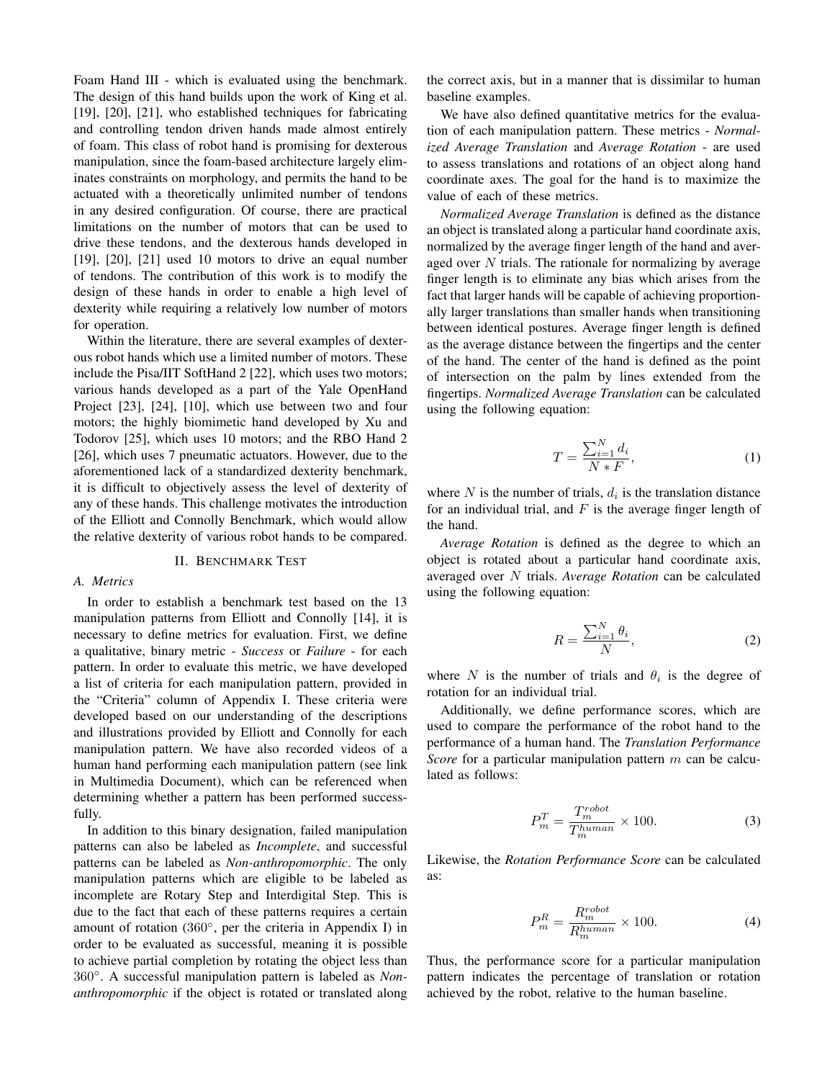Foam Hand III - which is evaluated using the benchmark. The design of this hand builds upon the work of King et al. [19], [20], [21], who established techniques for fabricating and controlling tendon driven hands made almost entirely of foam. This class of robot hand is promising for dexterous manipulation, since the foam-based architecture largely eliminates constraints on morphology, and permits the hand to be actuated with a theoretically unlimited number of tendons in any desired configuration. Of course, there are practical limitations on the number of motors that can be used to drive these tendons, and the dexterous hands developed in [19], [20], [21] used 10 motors to drive an equal number of tendons. The contribution of this work is to modify the design of these hands in order to enable a high level of dexterity while requiring a relatively low number of motors for operation.

Within the literature, there are several examples of dexterous robot hands which use a limited number of motors. These include the Pisa/IIT SoftHand 2 [22], which uses two motors; various hands developed as a part of the Yale OpenHand Project [23], [24], [10], which use between two and four motors; the highly biomimetic hand developed by Xu and Todorov [25], which uses 10 motors; and the RBO Hand 2 [26], which uses 7 pneumatic actuators. However, due to the aforementioned lack of a standardized dexterity benchmark, it is difficult to objectively assess the level of dexterity of any of these hands. This challenge motivates the introduction of the Elliott and Connolly Benchmark, which would allow the relative dexterity of various robot hands to be compared.

# II. BENCHMARK TEST

### *A. Metrics*

In order to establish a benchmark test based on the 13 manipulation patterns from Elliott and Connolly [14], it is necessary to define metrics for evaluation. First, we define a qualitative, binary metric - *Success* or *Failure* - for each pattern. In order to evaluate this metric, we have developed a list of criteria for each manipulation pattern, provided in the "Criteria" column of Appendix I. These criteria were developed based on our understanding of the descriptions and illustrations provided by Elliott and Connolly for each manipulation pattern. We have also recorded videos of a human hand performing each manipulation pattern (see link in Multimedia Document), which can be referenced when determining whether a pattern has been performed successfully.

In addition to this binary designation, failed manipulation patterns can also be labeled as *Incomplete*, and successful patterns can be labeled as *Non-anthropomorphic*. The only manipulation patterns which are eligible to be labeled as incomplete are Rotary Step and Interdigital Step. This is due to the fact that each of these patterns requires a certain amount of rotation (360◦, per the criteria in Appendix I) in order to be evaluated as successful, meaning it is possible to achieve partial completion by rotating the object less than 360◦. A successful manipulation pattern is labeled as *Nonanthropomorphic* if the object is rotated or translated along the correct axis, but in a manner that is dissimilar to human baseline examples.

We have also defined quantitative metrics for the evaluation of each manipulation pattern. These metrics - *Normalized Average Translation* and *Average Rotation* - are used to assess translations and rotations of an object along hand coordinate axes. The goal for the hand is to maximize the value of each of these metrics.

*Normalized Average Translation* is defined as the distance an object is translated along a particular hand coordinate axis, normalized by the average finger length of the hand and averaged over *N* trials. The rationale for normalizing by average finger length is to eliminate any bias which arises from the fact that larger hands will be capable of achieving proportionally larger translations than smaller hands when transitioning between identical postures. Average finger length is defined as the average distance between the fingertips and the center of the hand. The center of the hand is defined as the point of intersection on the palm by lines extended from the fingertips. *Normalized Average Translation* can be calculated using the following equation:

$$
T = \frac{\sum_{i=1}^{N} d_i}{N * F},\tag{1}
$$

where  $N$  is the number of trials,  $d_i$  is the translation distance for an individual trial, and *F* is the average finger length of the hand.

*Average Rotation* is defined as the degree to which an object is rotated about a particular hand coordinate axis, averaged over *N* trials. *Average Rotation* can be calculated using the following equation:

$$
R = \frac{\sum_{i=1}^{N} \theta_i}{N},\tag{2}
$$

where *N* is the number of trials and  $\theta_i$  is the degree of rotation for an individual trial.

Additionally, we define performance scores, which are used to compare the performance of the robot hand to the performance of a human hand. The *Translation Performance Score* for a particular manipulation pattern *m* can be calculated as follows:

$$
P_m^T = \frac{T_m^{robot}}{T_m^{human}} \times 100.
$$
 (3)

Likewise, the *Rotation Performance Score* can be calculated as:

$$
P_m^R = \frac{R_m^{robot}}{R_m^{human}} \times 100.
$$
 (4)

Thus, the performance score for a particular manipulation pattern indicates the percentage of translation or rotation achieved by the robot, relative to the human baseline.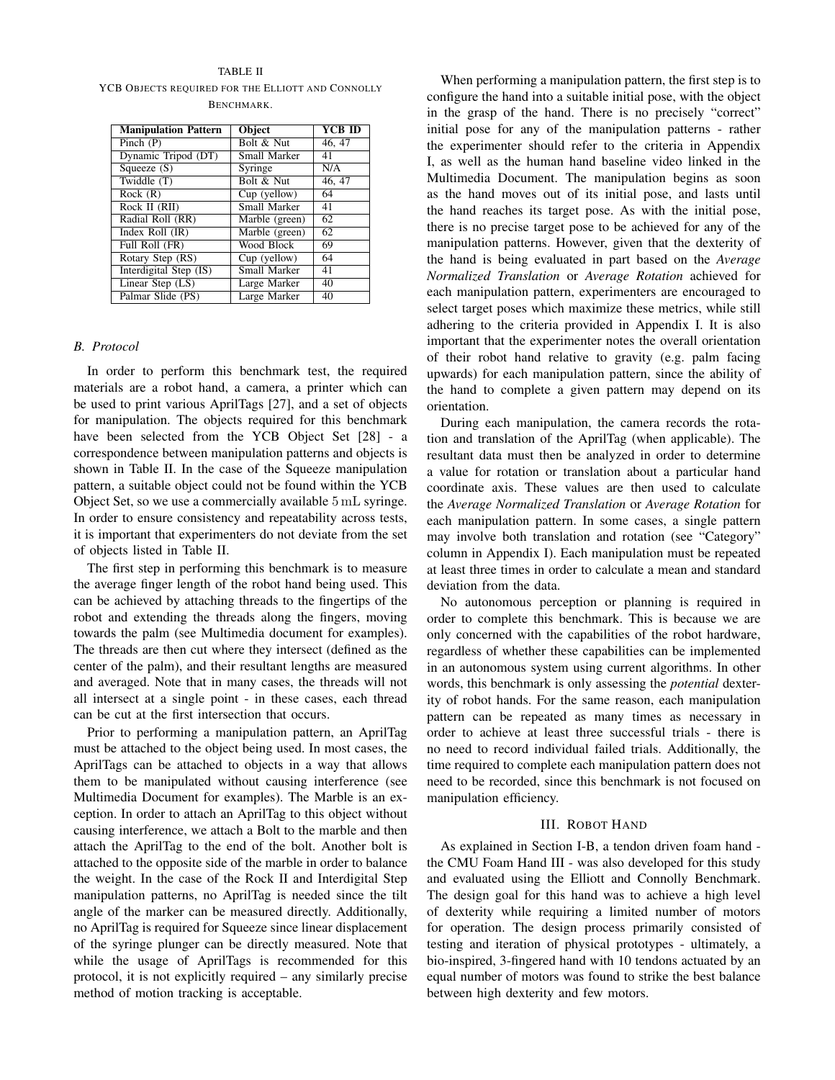## TABLE II

YCB OBJECTS REQUIRED FOR THE ELLIOTT AND CONNOLLY BENCHMARK.

| <b>Manipulation Pattern</b> | Object              | <b>YCB ID</b>        |
|-----------------------------|---------------------|----------------------|
| Pinch $(P)$                 | Bolt & Nut          | 46, 47               |
| Dynamic Tripod (DT)         | Small Marker        | 41                   |
| Squeeze $(S)$               | Syringe             | N/A                  |
| Twiddle $(T)$               | Bolt & Nut          | $\overline{46}$ , 47 |
| Rock(R)                     | Cup (yellow)        | 64                   |
| Rock II (RII)               | Small Marker        | 41                   |
| Radial Roll (RR)            | Marble (green)      | 62                   |
| Index Roll $(IR)$           | Marble (green)      | 62                   |
| Full Roll (FR)              | Wood Block          | 69                   |
| Rotary Step (RS)            | Cup (yellow)        | 64                   |
| Interdigital Step (IS)      | <b>Small Marker</b> | 41                   |
| Linear Step (LS)            | Large Marker        | 40                   |
| Palmar Slide (PS)           | Large Marker        | 40                   |

# *B. Protocol*

In order to perform this benchmark test, the required materials are a robot hand, a camera, a printer which can be used to print various AprilTags [27], and a set of objects for manipulation. The objects required for this benchmark have been selected from the YCB Object Set [28] - a correspondence between manipulation patterns and objects is shown in Table II. In the case of the Squeeze manipulation pattern, a suitable object could not be found within the YCB Object Set, so we use a commercially available 5 mL syringe. In order to ensure consistency and repeatability across tests, it is important that experimenters do not deviate from the set of objects listed in Table II.

The first step in performing this benchmark is to measure the average finger length of the robot hand being used. This can be achieved by attaching threads to the fingertips of the robot and extending the threads along the fingers, moving towards the palm (see Multimedia document for examples). The threads are then cut where they intersect (defined as the center of the palm), and their resultant lengths are measured and averaged. Note that in many cases, the threads will not all intersect at a single point - in these cases, each thread can be cut at the first intersection that occurs.

Prior to performing a manipulation pattern, an AprilTag must be attached to the object being used. In most cases, the AprilTags can be attached to objects in a way that allows them to be manipulated without causing interference (see Multimedia Document for examples). The Marble is an exception. In order to attach an AprilTag to this object without causing interference, we attach a Bolt to the marble and then attach the AprilTag to the end of the bolt. Another bolt is attached to the opposite side of the marble in order to balance the weight. In the case of the Rock II and Interdigital Step manipulation patterns, no AprilTag is needed since the tilt angle of the marker can be measured directly. Additionally, no AprilTag is required for Squeeze since linear displacement of the syringe plunger can be directly measured. Note that while the usage of AprilTags is recommended for this protocol, it is not explicitly required – any similarly precise method of motion tracking is acceptable.

When performing a manipulation pattern, the first step is to configure the hand into a suitable initial pose, with the object in the grasp of the hand. There is no precisely "correct" initial pose for any of the manipulation patterns - rather the experimenter should refer to the criteria in Appendix I, as well as the human hand baseline video linked in the Multimedia Document. The manipulation begins as soon as the hand moves out of its initial pose, and lasts until the hand reaches its target pose. As with the initial pose, there is no precise target pose to be achieved for any of the manipulation patterns. However, given that the dexterity of the hand is being evaluated in part based on the *Average Normalized Translation* or *Average Rotation* achieved for each manipulation pattern, experimenters are encouraged to select target poses which maximize these metrics, while still adhering to the criteria provided in Appendix I. It is also important that the experimenter notes the overall orientation of their robot hand relative to gravity (e.g. palm facing upwards) for each manipulation pattern, since the ability of the hand to complete a given pattern may depend on its orientation.

During each manipulation, the camera records the rotation and translation of the AprilTag (when applicable). The resultant data must then be analyzed in order to determine a value for rotation or translation about a particular hand coordinate axis. These values are then used to calculate the *Average Normalized Translation* or *Average Rotation* for each manipulation pattern. In some cases, a single pattern may involve both translation and rotation (see "Category" column in Appendix I). Each manipulation must be repeated at least three times in order to calculate a mean and standard deviation from the data.

No autonomous perception or planning is required in order to complete this benchmark. This is because we are only concerned with the capabilities of the robot hardware, regardless of whether these capabilities can be implemented in an autonomous system using current algorithms. In other words, this benchmark is only assessing the *potential* dexterity of robot hands. For the same reason, each manipulation pattern can be repeated as many times as necessary in order to achieve at least three successful trials - there is no need to record individual failed trials. Additionally, the time required to complete each manipulation pattern does not need to be recorded, since this benchmark is not focused on manipulation efficiency.

### III. ROBOT HAND

As explained in Section I-B, a tendon driven foam hand the CMU Foam Hand III - was also developed for this study and evaluated using the Elliott and Connolly Benchmark. The design goal for this hand was to achieve a high level of dexterity while requiring a limited number of motors for operation. The design process primarily consisted of testing and iteration of physical prototypes - ultimately, a bio-inspired, 3-fingered hand with 10 tendons actuated by an equal number of motors was found to strike the best balance between high dexterity and few motors.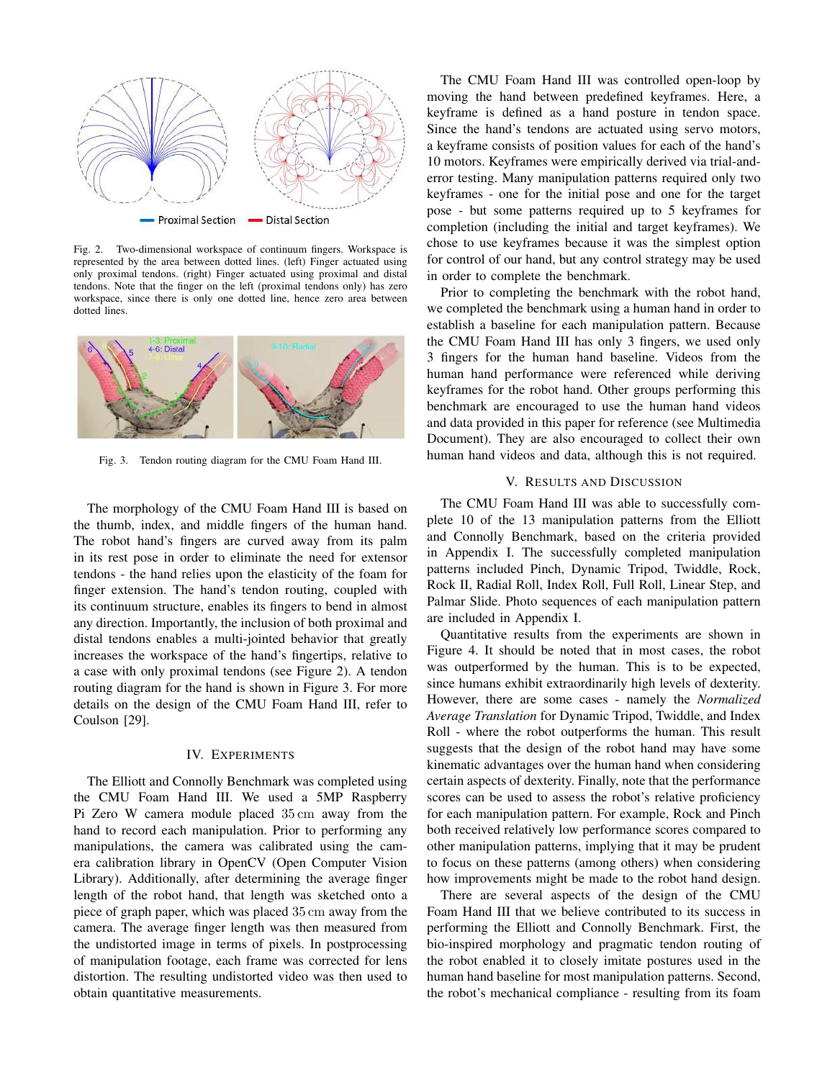

Fig. 2. Two-dimensional workspace of continuum fingers. Workspace is represented by the area between dotted lines. (left) Finger actuated using only proximal tendons. (right) Finger actuated using proximal and distal tendons. Note that the finger on the left (proximal tendons only) has zero workspace, since there is only one dotted line, hence zero area between dotted lines.



Fig. 3. Tendon routing diagram for the CMU Foam Hand III.

The morphology of the CMU Foam Hand III is based on the thumb, index, and middle fingers of the human hand. The robot hand's fingers are curved away from its palm in its rest pose in order to eliminate the need for extensor tendons - the hand relies upon the elasticity of the foam for finger extension. The hand's tendon routing, coupled with its continuum structure, enables its fingers to bend in almost any direction. Importantly, the inclusion of both proximal and distal tendons enables a multi-jointed behavior that greatly increases the workspace of the hand's fingertips, relative to a case with only proximal tendons (see Figure 2). A tendon routing diagram for the hand is shown in Figure 3. For more details on the design of the CMU Foam Hand III, refer to Coulson [29].

#### IV. EXPERIMENTS

The Elliott and Connolly Benchmark was completed using the CMU Foam Hand III. We used a 5MP Raspberry Pi Zero W camera module placed 35 cm away from the hand to record each manipulation. Prior to performing any manipulations, the camera was calibrated using the camera calibration library in OpenCV (Open Computer Vision Library). Additionally, after determining the average finger length of the robot hand, that length was sketched onto a piece of graph paper, which was placed 35 cm away from the camera. The average finger length was then measured from the undistorted image in terms of pixels. In postprocessing of manipulation footage, each frame was corrected for lens distortion. The resulting undistorted video was then used to obtain quantitative measurements.

The CMU Foam Hand III was controlled open-loop by moving the hand between predefined keyframes. Here, a keyframe is defined as a hand posture in tendon space. Since the hand's tendons are actuated using servo motors, a keyframe consists of position values for each of the hand's 10 motors. Keyframes were empirically derived via trial-anderror testing. Many manipulation patterns required only two keyframes - one for the initial pose and one for the target pose - but some patterns required up to 5 keyframes for completion (including the initial and target keyframes). We chose to use keyframes because it was the simplest option for control of our hand, but any control strategy may be used in order to complete the benchmark.

Prior to completing the benchmark with the robot hand, we completed the benchmark using a human hand in order to establish a baseline for each manipulation pattern. Because the CMU Foam Hand III has only 3 fingers, we used only 3 fingers for the human hand baseline. Videos from the human hand performance were referenced while deriving keyframes for the robot hand. Other groups performing this benchmark are encouraged to use the human hand videos and data provided in this paper for reference (see Multimedia Document). They are also encouraged to collect their own human hand videos and data, although this is not required.

## V. RESULTS AND DISCUSSION

The CMU Foam Hand III was able to successfully complete 10 of the 13 manipulation patterns from the Elliott and Connolly Benchmark, based on the criteria provided in Appendix I. The successfully completed manipulation patterns included Pinch, Dynamic Tripod, Twiddle, Rock, Rock II, Radial Roll, Index Roll, Full Roll, Linear Step, and Palmar Slide. Photo sequences of each manipulation pattern are included in Appendix I.

Quantitative results from the experiments are shown in Figure 4. It should be noted that in most cases, the robot was outperformed by the human. This is to be expected, since humans exhibit extraordinarily high levels of dexterity. However, there are some cases - namely the *Normalized Average Translation* for Dynamic Tripod, Twiddle, and Index Roll - where the robot outperforms the human. This result suggests that the design of the robot hand may have some kinematic advantages over the human hand when considering certain aspects of dexterity. Finally, note that the performance scores can be used to assess the robot's relative proficiency for each manipulation pattern. For example, Rock and Pinch both received relatively low performance scores compared to other manipulation patterns, implying that it may be prudent to focus on these patterns (among others) when considering how improvements might be made to the robot hand design.

There are several aspects of the design of the CMU Foam Hand III that we believe contributed to its success in performing the Elliott and Connolly Benchmark. First, the bio-inspired morphology and pragmatic tendon routing of the robot enabled it to closely imitate postures used in the human hand baseline for most manipulation patterns. Second, the robot's mechanical compliance - resulting from its foam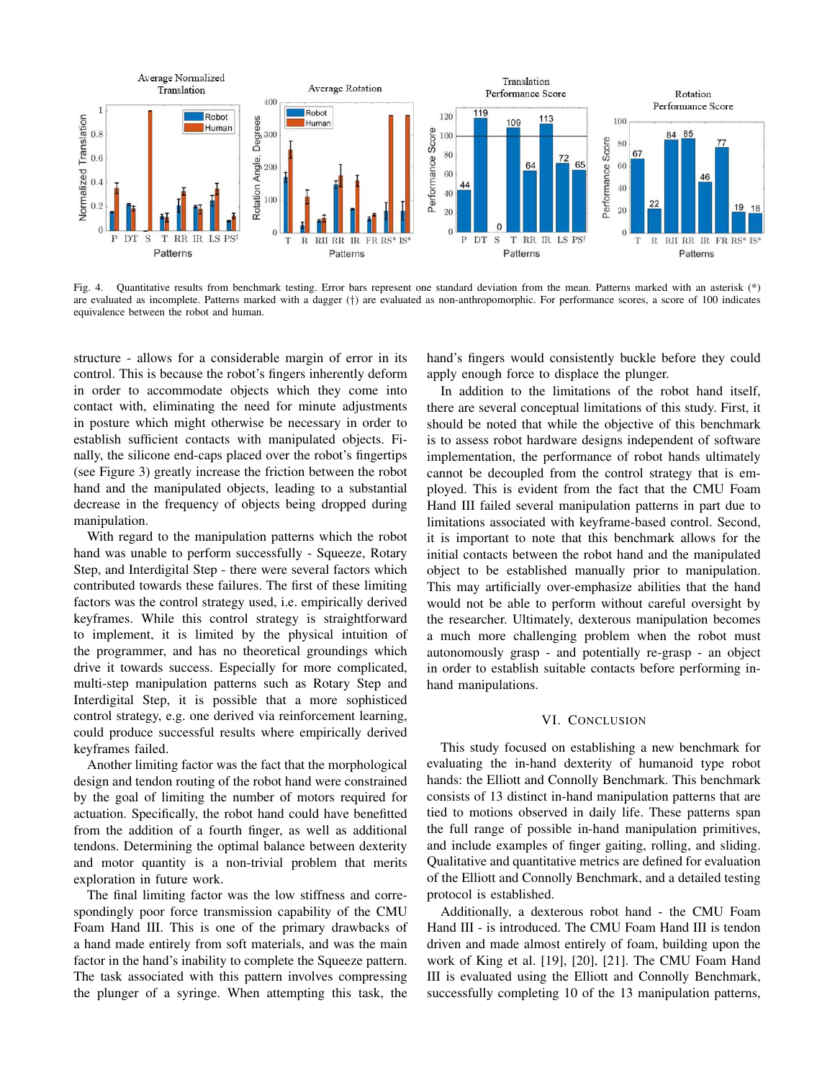

Fig. 4. Quantitative results from benchmark testing. Error bars represent one standard deviation from the mean. Patterns marked with an asterisk (\*) are evaluated as incomplete. Patterns marked with a dagger (*†*) are evaluated as non-anthropomorphic. For performance scores, a score of 100 indicates equivalence between the robot and human.

structure - allows for a considerable margin of error in its control. This is because the robot's fingers inherently deform in order to accommodate objects which they come into contact with, eliminating the need for minute adjustments in posture which might otherwise be necessary in order to establish sufficient contacts with manipulated objects. Finally, the silicone end-caps placed over the robot's fingertips (see Figure 3) greatly increase the friction between the robot hand and the manipulated objects, leading to a substantial decrease in the frequency of objects being dropped during manipulation.

With regard to the manipulation patterns which the robot hand was unable to perform successfully - Squeeze, Rotary Step, and Interdigital Step - there were several factors which contributed towards these failures. The first of these limiting factors was the control strategy used, i.e. empirically derived keyframes. While this control strategy is straightforward to implement, it is limited by the physical intuition of the programmer, and has no theoretical groundings which drive it towards success. Especially for more complicated, multi-step manipulation patterns such as Rotary Step and Interdigital Step, it is possible that a more sophisticed control strategy, e.g. one derived via reinforcement learning, could produce successful results where empirically derived keyframes failed.

Another limiting factor was the fact that the morphological design and tendon routing of the robot hand were constrained by the goal of limiting the number of motors required for actuation. Specifically, the robot hand could have benefitted from the addition of a fourth finger, as well as additional tendons. Determining the optimal balance between dexterity and motor quantity is a non-trivial problem that merits exploration in future work.

The final limiting factor was the low stiffness and correspondingly poor force transmission capability of the CMU Foam Hand III. This is one of the primary drawbacks of a hand made entirely from soft materials, and was the main factor in the hand's inability to complete the Squeeze pattern. The task associated with this pattern involves compressing the plunger of a syringe. When attempting this task, the

hand's fingers would consistently buckle before they could apply enough force to displace the plunger.

In addition to the limitations of the robot hand itself, there are several conceptual limitations of this study. First, it should be noted that while the objective of this benchmark is to assess robot hardware designs independent of software implementation, the performance of robot hands ultimately cannot be decoupled from the control strategy that is employed. This is evident from the fact that the CMU Foam Hand III failed several manipulation patterns in part due to limitations associated with keyframe-based control. Second, it is important to note that this benchmark allows for the initial contacts between the robot hand and the manipulated object to be established manually prior to manipulation. This may artificially over-emphasize abilities that the hand would not be able to perform without careful oversight by the researcher. Ultimately, dexterous manipulation becomes a much more challenging problem when the robot must autonomously grasp - and potentially re-grasp - an object in order to establish suitable contacts before performing inhand manipulations.

# VI. CONCLUSION

This study focused on establishing a new benchmark for evaluating the in-hand dexterity of humanoid type robot hands: the Elliott and Connolly Benchmark. This benchmark consists of 13 distinct in-hand manipulation patterns that are tied to motions observed in daily life. These patterns span the full range of possible in-hand manipulation primitives, and include examples of finger gaiting, rolling, and sliding. Qualitative and quantitative metrics are defined for evaluation of the Elliott and Connolly Benchmark, and a detailed testing protocol is established.

Additionally, a dexterous robot hand - the CMU Foam Hand III - is introduced. The CMU Foam Hand III is tendon driven and made almost entirely of foam, building upon the work of King et al. [19], [20], [21]. The CMU Foam Hand III is evaluated using the Elliott and Connolly Benchmark, successfully completing 10 of the 13 manipulation patterns,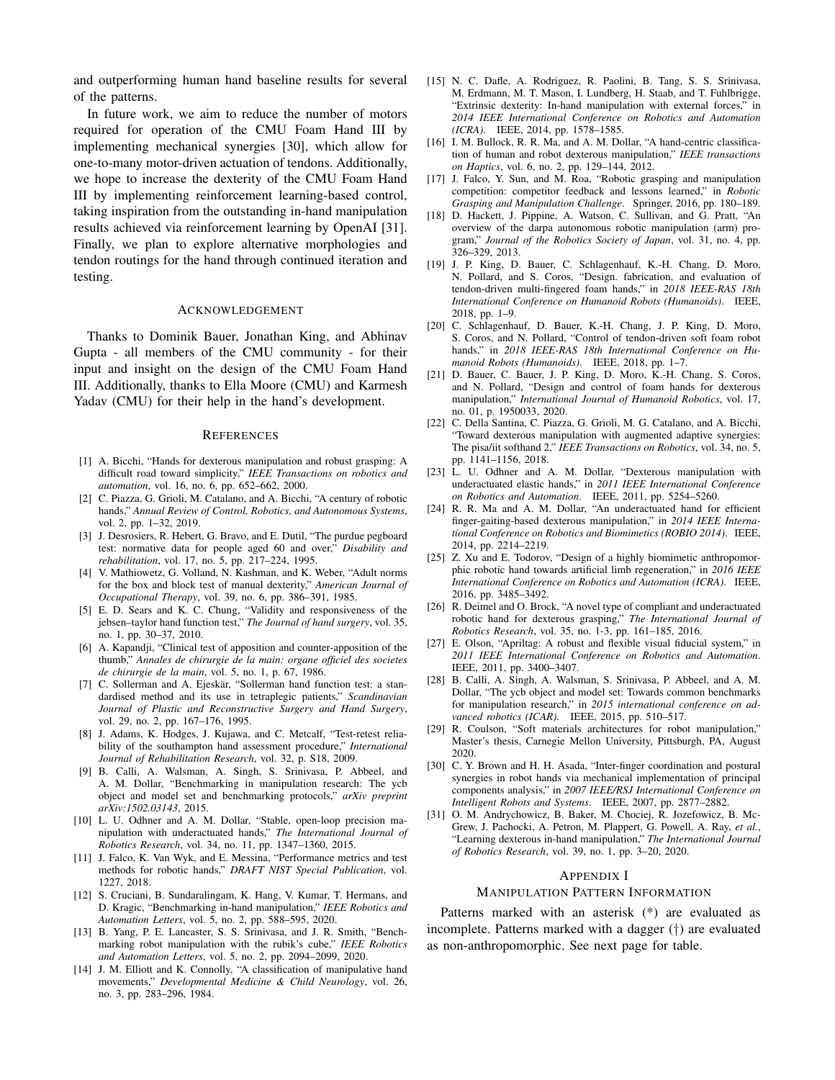and outperforming human hand baseline results for several of the patterns.

In future work, we aim to reduce the number of motors required for operation of the CMU Foam Hand III by implementing mechanical synergies [30], which allow for one-to-many motor-driven actuation of tendons. Additionally, we hope to increase the dexterity of the CMU Foam Hand III by implementing reinforcement learning-based control, taking inspiration from the outstanding in-hand manipulation results achieved via reinforcement learning by OpenAI [31]. Finally, we plan to explore alternative morphologies and tendon routings for the hand through continued iteration and testing.

#### ACKNOWLEDGEMENT

Thanks to Dominik Bauer, Jonathan King, and Abhinav Gupta - all members of the CMU community - for their input and insight on the design of the CMU Foam Hand III. Additionally, thanks to Ella Moore (CMU) and Karmesh Yadav (CMU) for their help in the hand's development.

#### **REFERENCES**

- [1] A. Bicchi, "Hands for dexterous manipulation and robust grasping: A difficult road toward simplicity," *IEEE Transactions on robotics and automation*, vol. 16, no. 6, pp. 652–662, 2000.
- [2] C. Piazza, G. Grioli, M. Catalano, and A. Bicchi, "A century of robotic hands," *Annual Review of Control, Robotics, and Autonomous Systems*, vol. 2, pp. 1–32, 2019.
- [3] J. Desrosiers, R. Hebert, G. Bravo, and E. Dutil, "The purdue pegboard test: normative data for people aged 60 and over," *Disability and rehabilitation*, vol. 17, no. 5, pp. 217–224, 1995.
- [4] V. Mathiowetz, G. Volland, N. Kashman, and K. Weber, "Adult norms for the box and block test of manual dexterity," *American Journal of Occupational Therapy*, vol. 39, no. 6, pp. 386–391, 1985.
- [5] E. D. Sears and K. C. Chung, "Validity and responsiveness of the jebsen–taylor hand function test," *The Journal of hand surgery*, vol. 35, no. 1, pp. 30–37, 2010.
- [6] A. Kapandji, "Clinical test of apposition and counter-apposition of the thumb," *Annales de chirurgie de la main: organe officiel des societes de chirurgie de la main*, vol. 5, no. 1, p. 67, 1986.
- [7] C. Sollerman and A. Ejeskär, "Sollerman hand function test: a standardised method and its use in tetraplegic patients," *Scandinavian Journal of Plastic and Reconstructive Surgery and Hand Surgery*, vol. 29, no. 2, pp. 167–176, 1995.
- [8] J. Adams, K. Hodges, J. Kujawa, and C. Metcalf, "Test-retest reliability of the southampton hand assessment procedure," *International Journal of Rehabilitation Research*, vol. 32, p. S18, 2009.
- [9] B. Calli, A. Walsman, A. Singh, S. Srinivasa, P. Abbeel, and A. M. Dollar, "Benchmarking in manipulation research: The ycb object and model set and benchmarking protocols," *arXiv preprint arXiv:1502.03143*, 2015.
- [10] L. U. Odhner and A. M. Dollar, "Stable, open-loop precision manipulation with underactuated hands," *The International Journal of Robotics Research*, vol. 34, no. 11, pp. 1347–1360, 2015.
- [11] J. Falco, K. Van Wyk, and E. Messina, "Performance metrics and test methods for robotic hands," *DRAFT NIST Special Publication*, vol. 1227, 2018.
- [12] S. Cruciani, B. Sundaralingam, K. Hang, V. Kumar, T. Hermans, and D. Kragic, "Benchmarking in-hand manipulation," *IEEE Robotics and Automation Letters*, vol. 5, no. 2, pp. 588–595, 2020.
- [13] B. Yang, P. E. Lancaster, S. S. Srinivasa, and J. R. Smith, "Benchmarking robot manipulation with the rubik's cube," *IEEE Robotics and Automation Letters*, vol. 5, no. 2, pp. 2094–2099, 2020.
- [14] J. M. Elliott and K. Connolly, "A classification of manipulative hand movements," *Developmental Medicine & Child Neurology*, vol. 26, no. 3, pp. 283–296, 1984.
- [15] N. C. Dafle, A. Rodriguez, R. Paolini, B. Tang, S. S. Srinivasa, M. Erdmann, M. T. Mason, I. Lundberg, H. Staab, and T. Fuhlbrigge, "Extrinsic dexterity: In-hand manipulation with external forces," in *2014 IEEE International Conference on Robotics and Automation (ICRA)*. IEEE, 2014, pp. 1578–1585.
- [16] I. M. Bullock, R. R. Ma, and A. M. Dollar, "A hand-centric classification of human and robot dexterous manipulation," *IEEE transactions on Haptics*, vol. 6, no. 2, pp. 129–144, 2012.
- [17] J. Falco, Y. Sun, and M. Roa, "Robotic grasping and manipulation competition: competitor feedback and lessons learned," in *Robotic Grasping and Manipulation Challenge*. Springer, 2016, pp. 180–189.
- [18] D. Hackett, J. Pippine, A. Watson, C. Sullivan, and G. Pratt, "An overview of the darpa autonomous robotic manipulation (arm) program," *Journal of the Robotics Society of Japan*, vol. 31, no. 4, pp. 326–329, 2013.
- [19] J. P. King, D. Bauer, C. Schlagenhauf, K.-H. Chang, D. Moro, N. Pollard, and S. Coros, "Design. fabrication, and evaluation of tendon-driven multi-fingered foam hands," in *2018 IEEE-RAS 18th International Conference on Humanoid Robots (Humanoids)*. IEEE, 2018, pp. 1–9.
- [20] C. Schlagenhauf, D. Bauer, K.-H. Chang, J. P. King, D. Moro, S. Coros, and N. Pollard, "Control of tendon-driven soft foam robot hands," in *2018 IEEE-RAS 18th International Conference on Humanoid Robots (Humanoids)*. IEEE, 2018, pp. 1–7.
- [21] D. Bauer, C. Bauer, J. P. King, D. Moro, K.-H. Chang, S. Coros, and N. Pollard, "Design and control of foam hands for dexterous manipulation," *International Journal of Humanoid Robotics*, vol. 17, no. 01, p. 1950033, 2020.
- [22] C. Della Santina, C. Piazza, G. Grioli, M. G. Catalano, and A. Bicchi, "Toward dexterous manipulation with augmented adaptive synergies: The pisa/iit softhand 2," *IEEE Transactions on Robotics*, vol. 34, no. 5, pp. 1141–1156, 2018.
- [23] L. U. Odhner and A. M. Dollar, "Dexterous manipulation with underactuated elastic hands," in *2011 IEEE International Conference on Robotics and Automation*. IEEE, 2011, pp. 5254–5260.
- [24] R. R. Ma and A. M. Dollar, "An underactuated hand for efficient finger-gaiting-based dexterous manipulation," in *2014 IEEE International Conference on Robotics and Biomimetics (ROBIO 2014)*. IEEE, 2014, pp. 2214–2219.
- [25] Z. Xu and E. Todorov, "Design of a highly biomimetic anthropomorphic robotic hand towards artificial limb regeneration," in *2016 IEEE International Conference on Robotics and Automation (ICRA)*. IEEE, 2016, pp. 3485–3492.
- [26] R. Deimel and O. Brock, "A novel type of compliant and underactuated robotic hand for dexterous grasping," *The International Journal of Robotics Research*, vol. 35, no. 1-3, pp. 161–185, 2016.
- [27] E. Olson, "Apriltag: A robust and flexible visual fiducial system," in *2011 IEEE International Conference on Robotics and Automation*. IEEE, 2011, pp. 3400–3407.
- [28] B. Calli, A. Singh, A. Walsman, S. Srinivasa, P. Abbeel, and A. M. Dollar, "The ycb object and model set: Towards common benchmarks for manipulation research," in *2015 international conference on advanced robotics (ICAR)*. IEEE, 2015, pp. 510–517.
- [29] R. Coulson, "Soft materials architectures for robot manipulation," Master's thesis, Carnegie Mellon University, Pittsburgh, PA, August 2020.
- [30] C. Y. Brown and H. H. Asada, "Inter-finger coordination and postural synergies in robot hands via mechanical implementation of principal components analysis," in *2007 IEEE/RSJ International Conference on Intelligent Robots and Systems*. IEEE, 2007, pp. 2877–2882.
- [31] O. M. Andrychowicz, B. Baker, M. Chociej, R. Jozefowicz, B. Mc-Grew, J. Pachocki, A. Petron, M. Plappert, G. Powell, A. Ray, *et al.*, "Learning dexterous in-hand manipulation," *The International Journal of Robotics Research*, vol. 39, no. 1, pp. 3–20, 2020.

#### APPENDIX I

#### MANIPULATION PATTERN INFORMATION

Patterns marked with an asterisk (\*) are evaluated as incomplete. Patterns marked with a dagger (*†*) are evaluated as non-anthropomorphic. See next page for table.